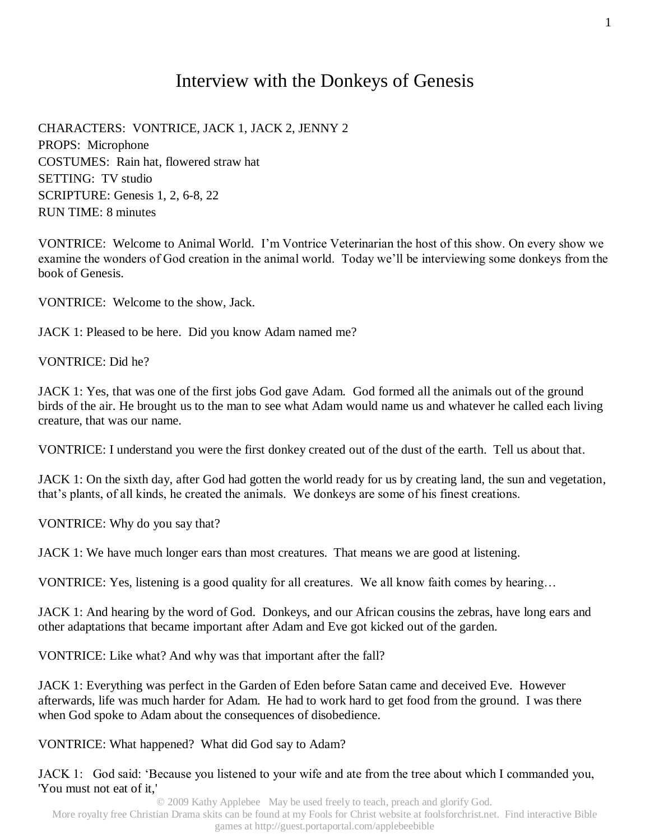## Interview with the Donkeys of Genesis

CHARACTERS: VONTRICE, JACK 1, JACK 2, JENNY 2 PROPS: Microphone COSTUMES: Rain hat, flowered straw hat SETTING: TV studio SCRIPTURE: Genesis 1, 2, 6-8, 22 RUN TIME: 8 minutes

VONTRICE: Welcome to Animal World. I'm Vontrice Veterinarian the host of this show. On every show we examine the wonders of God creation in the animal world. Today we'll be interviewing some donkeys from the book of Genesis.

VONTRICE: Welcome to the show, Jack.

JACK 1: Pleased to be here. Did you know Adam named me?

VONTRICE: Did he?

JACK 1: Yes, that was one of the first jobs God gave Adam. God formed all the animals out of the ground birds of the air. He brought us to the man to see what Adam would name us and whatever he called each living creature, that was our name.

VONTRICE: I understand you were the first donkey created out of the dust of the earth. Tell us about that.

JACK 1: On the sixth day, after God had gotten the world ready for us by creating land, the sun and vegetation, that's plants, of all kinds, he created the animals. We donkeys are some of his finest creations.

VONTRICE: Why do you say that?

JACK 1: We have much longer ears than most creatures. That means we are good at listening.

VONTRICE: Yes, listening is a good quality for all creatures. We all know faith comes by hearing…

JACK 1: And hearing by the word of God. Donkeys, and our African cousins the zebras, have long ears and other adaptations that became important after Adam and Eve got kicked out of the garden.

VONTRICE: Like what? And why was that important after the fall?

JACK 1: Everything was perfect in the Garden of Eden before Satan came and deceived Eve. However afterwards, life was much harder for Adam. He had to work hard to get food from the ground. I was there when God spoke to Adam about the consequences of disobedience.

VONTRICE: What happened? What did God say to Adam?

JACK 1: God said: 'Because you listened to your wife and ate from the tree about which I commanded you, 'You must not eat of it,'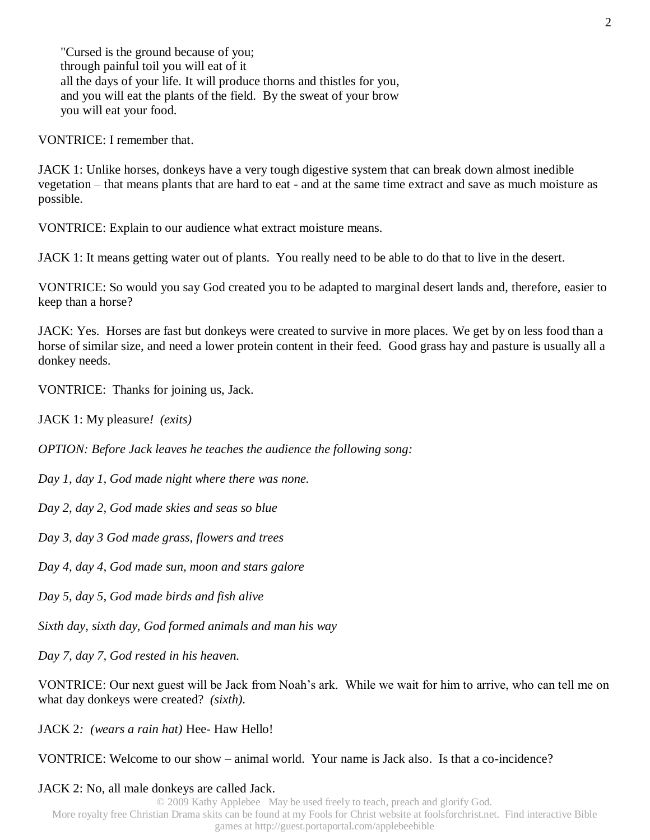"Cursed is the ground because of you; through painful toil you will eat of it all the days of your life. It will produce thorns and thistles for you, and you will eat the plants of the field. By the sweat of your brow you will eat your food.

VONTRICE: I remember that.

JACK 1: Unlike horses, donkeys have a very tough digestive system that can break down almost inedible vegetation – that means plants that are hard to eat - and at the same time extract and save as much moisture as possible.

VONTRICE: Explain to our audience what extract moisture means.

JACK 1: It means getting water out of plants. You really need to be able to do that to live in the desert.

VONTRICE: So would you say God created you to be adapted to marginal desert lands and, therefore, easier to keep than a horse?

JACK: Yes. Horses are fast but donkeys were created to survive in more places. We get by on less food than a horse of similar size, and need a lower protein content in their feed. Good grass hay and pasture is usually all a donkey needs.

VONTRICE: Thanks for joining us, Jack.

JACK 1: My pleasure*! (exits)* 

*OPTION: Before Jack leaves he teaches the audience the following song:*

*Day 1, day 1, God made night where there was none.*

*Day 2, day 2, God made skies and seas so blue*

*Day 3, day 3 God made grass, flowers and trees*

*Day 4, day 4, God made sun, moon and stars galore*

*Day 5, day 5, God made birds and fish alive*

*Sixth day, sixth day, God formed animals and man his way*

*Day 7, day 7, God rested in his heaven.*

VONTRICE: Our next guest will be Jack from Noah's ark. While we wait for him to arrive, who can tell me on what day donkeys were created? *(sixth).*

JACK 2*: (wears a rain hat)* Hee- Haw Hello!

VONTRICE: Welcome to our show – animal world. Your name is Jack also. Is that a co-incidence?

#### JACK 2: No, all male donkeys are called Jack.

© 2009 Kathy Applebee May be used freely to teach, preach and glorify God. More royalty free Christian Drama skits can be found at my Fools for Christ website at foolsforchrist.net. Find interactive Bible games at http://guest.portaportal.com/applebeebible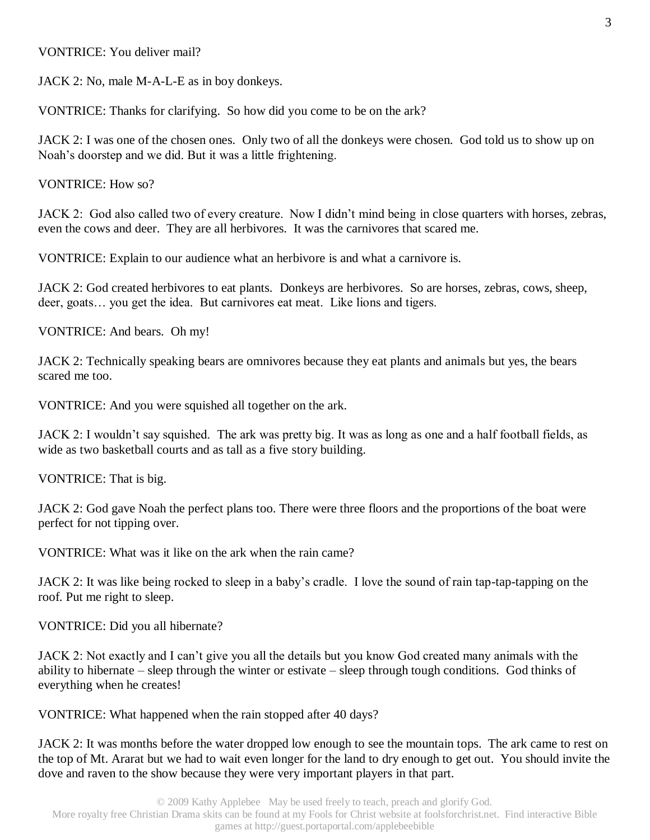VONTRICE: You deliver mail?

JACK 2: No, male M-A-L-E as in boy donkeys.

VONTRICE: Thanks for clarifying. So how did you come to be on the ark?

JACK 2: I was one of the chosen ones. Only two of all the donkeys were chosen. God told us to show up on Noah's doorstep and we did. But it was a little frightening.

VONTRICE: How so?

JACK 2: God also called two of every creature. Now I didn't mind being in close quarters with horses, zebras, even the cows and deer. They are all herbivores. It was the carnivores that scared me.

VONTRICE: Explain to our audience what an herbivore is and what a carnivore is.

JACK 2: God created herbivores to eat plants. Donkeys are herbivores. So are horses, zebras, cows, sheep, deer, goats… you get the idea. But carnivores eat meat. Like lions and tigers.

VONTRICE: And bears. Oh my!

JACK 2: Technically speaking bears are omnivores because they eat plants and animals but yes, the bears scared me too.

VONTRICE: And you were squished all together on the ark.

JACK 2: I wouldn't say squished. The ark was pretty big. It was as long as one and a half football fields, as wide as two basketball courts and as tall as a five story building.

VONTRICE: That is big.

JACK 2: God gave Noah the perfect plans too. There were three floors and the proportions of the boat were perfect for not tipping over.

VONTRICE: What was it like on the ark when the rain came?

JACK 2: It was like being rocked to sleep in a baby's cradle. I love the sound of rain tap-tap-tapping on the roof. Put me right to sleep.

VONTRICE: Did you all hibernate?

JACK 2: Not exactly and I can't give you all the details but you know God created many animals with the ability to hibernate – sleep through the winter or estivate – sleep through tough conditions. God thinks of everything when he creates!

VONTRICE: What happened when the rain stopped after 40 days?

JACK 2: It was months before the water dropped low enough to see the mountain tops. The ark came to rest on the top of Mt. Ararat but we had to wait even longer for the land to dry enough to get out. You should invite the dove and raven to the show because they were very important players in that part.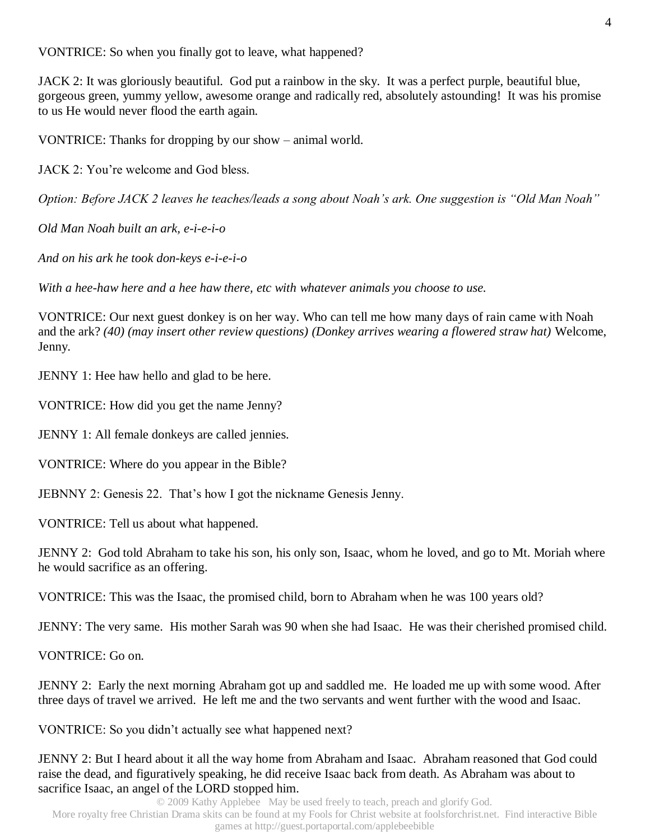VONTRICE: So when you finally got to leave, what happened?

JACK 2: It was gloriously beautiful. God put a rainbow in the sky. It was a perfect purple, beautiful blue, gorgeous green, yummy yellow, awesome orange and radically red, absolutely astounding! It was his promise to us He would never flood the earth again.

VONTRICE: Thanks for dropping by our show – animal world.

JACK 2: You're welcome and God bless.

*Option: Before JACK 2 leaves he teaches/leads a song about Noah's ark. One suggestion is "Old Man Noah"*

*Old Man Noah built an ark, e-i-e-i-o*

*And on his ark he took don-keys e-i-e-i-o*

*With a hee-haw here and a hee haw there, etc with whatever animals you choose to use.*

VONTRICE: Our next guest donkey is on her way. Who can tell me how many days of rain came with Noah and the ark? *(40) (may insert other review questions) (Donkey arrives wearing a flowered straw hat)* Welcome, Jenny.

JENNY 1: Hee haw hello and glad to be here.

VONTRICE: How did you get the name Jenny?

JENNY 1: All female donkeys are called jennies.

VONTRICE: Where do you appear in the Bible?

JEBNNY 2: Genesis 22. That's how I got the nickname Genesis Jenny.

VONTRICE: Tell us about what happened.

JENNY 2: God told Abraham to take his son, his only son, Isaac, whom he loved, and go to Mt. Moriah where he would sacrifice as an offering.

VONTRICE: This was the Isaac, the promised child, born to Abraham when he was 100 years old?

JENNY: The very same. His mother Sarah was 90 when she had Isaac. He was their cherished promised child.

VONTRICE: Go on.

JENNY 2: Early the next morning Abraham got up and saddled me. He loaded me up with some wood. After three days of travel we arrived. He left me and the two servants and went further with the wood and Isaac.

VONTRICE: So you didn't actually see what happened next?

JENNY 2: But I heard about it all the way home from Abraham and Isaac. Abraham reasoned that God could raise the dead, and figuratively speaking, he did receive Isaac back from death. As Abraham was about to sacrifice Isaac, an angel of the LORD stopped him.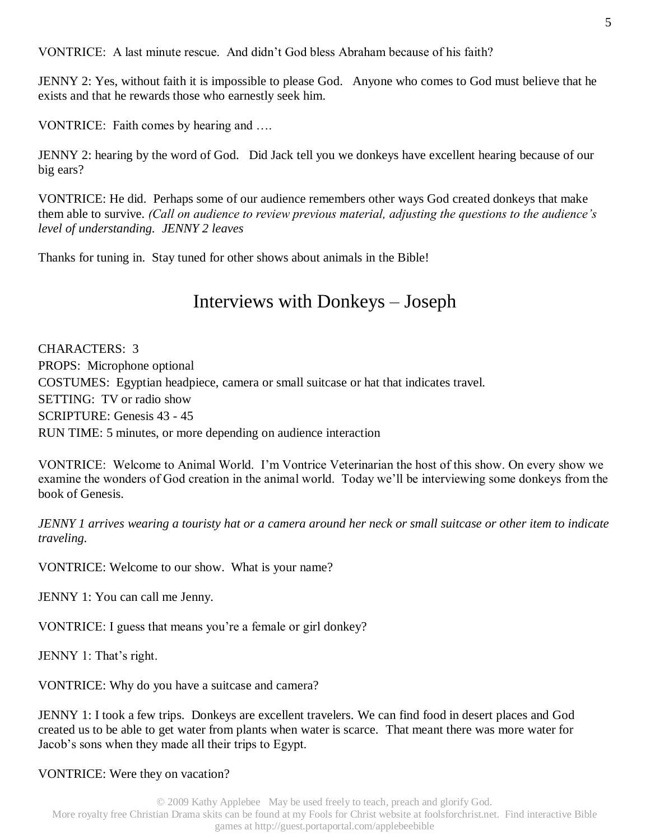VONTRICE: A last minute rescue. And didn't God bless Abraham because of his faith?

JENNY 2: Yes, without faith it is impossible to please God. Anyone who comes to God must believe that he exists and that he rewards those who earnestly seek him.

VONTRICE: Faith comes by hearing and ….

JENNY 2: hearing by the word of God. Did Jack tell you we donkeys have excellent hearing because of our big ears?

VONTRICE: He did. Perhaps some of our audience remembers other ways God created donkeys that make them able to survive. *(Call on audience to review previous material, adjusting the questions to the audience's level of understanding. JENNY 2 leaves* 

Thanks for tuning in. Stay tuned for other shows about animals in the Bible!

## Interviews with Donkeys – Joseph

CHARACTERS: 3 PROPS: Microphone optional COSTUMES: Egyptian headpiece, camera or small suitcase or hat that indicates travel. SETTING: TV or radio show SCRIPTURE: Genesis 43 - 45 RUN TIME: 5 minutes, or more depending on audience interaction

VONTRICE: Welcome to Animal World. I'm Vontrice Veterinarian the host of this show. On every show we examine the wonders of God creation in the animal world. Today we'll be interviewing some donkeys from the book of Genesis.

*JENNY 1 arrives wearing a touristy hat or a camera around her neck or small suitcase or other item to indicate traveling.*

VONTRICE: Welcome to our show. What is your name?

JENNY 1: You can call me Jenny.

VONTRICE: I guess that means you're a female or girl donkey?

JENNY 1: That's right.

VONTRICE: Why do you have a suitcase and camera?

JENNY 1: I took a few trips. Donkeys are excellent travelers. We can find food in desert places and God created us to be able to get water from plants when water is scarce. That meant there was more water for Jacob's sons when they made all their trips to Egypt.

### VONTRICE: Were they on vacation?

© 2009 Kathy Applebee May be used freely to teach, preach and glorify God. More royalty free Christian Drama skits can be found at my Fools for Christ website at foolsforchrist.net. Find interactive Bible games at http://guest.portaportal.com/applebeebible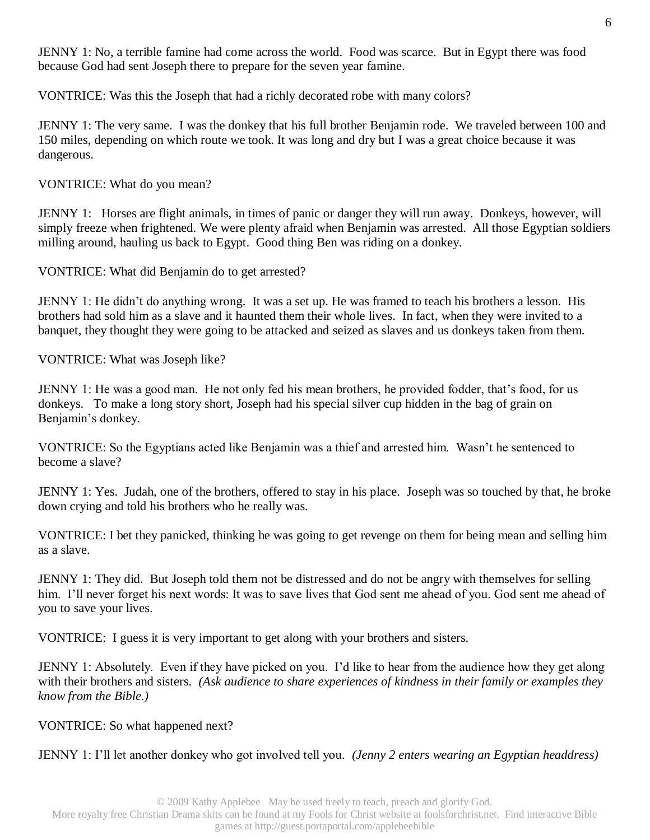JENNY 1: No, a terrible famine had come across the world. Food was scarce. But in Egypt there was food because God had sent Joseph there to prepare for the seven year famine.

VONTRICE: Was this the Joseph that had a richly decorated robe with many colors?

JENNY 1: The very same. I was the donkey that his full brother Benjamin rode. We traveled between 100 and 150 miles, depending on which route we took. It was long and dry but I was a great choice because it was dangerous.

VONTRICE: What do you mean?

JENNY 1: Horses are flight animals, in times of panic or danger they will run away. Donkeys, however, will simply freeze when frightened. We were plenty afraid when Benjamin was arrested. All those Egyptian soldiers milling around, hauling us back to Egypt. Good thing Ben was riding on a donkey.

VONTRICE: What did Benjamin do to get arrested?

JENNY 1: He didn't do anything wrong. It was a set up. He was framed to teach his brothers a lesson. His brothers had sold him as a slave and it haunted them their whole lives. In fact, when they were invited to a banquet, they thought they were going to be attacked and seized as slaves and us donkeys taken from them.

VONTRICE: What was Joseph like?

JENNY 1: He was a good man. He not only fed his mean brothers, he provided fodder, that's food, for us donkeys. To make a long story short, Joseph had his special silver cup hidden in the bag of grain on Benjamin's donkey.

VONTRICE: So the Egyptians acted like Benjamin was a thief and arrested him. Wasn't he sentenced to become a slave?

JENNY 1: Yes. Judah, one of the brothers, offered to stay in his place. Joseph was so touched by that, he broke down crying and told his brothers who he really was.

VONTRICE: I bet they panicked, thinking he was going to get revenge on them for being mean and selling him as a slave.

JENNY 1: They did. But Joseph told them not be distressed and do not be angry with themselves for selling him. I'll never forget his next words: It was to save lives that God sent me ahead of you. God sent me ahead of you to save your lives.

VONTRICE: I guess it is very important to get along with your brothers and sisters.

JENNY 1: Absolutely. Even if they have picked on you. I'd like to hear from the audience how they get along with their brothers and sisters. *(Ask audience to share experiences of kindness in their family or examples they know from the Bible.)*

VONTRICE: So what happened next?

JENNY 1: I'll let another donkey who got involved tell you*. (Jenny 2 enters wearing an Egyptian headdress)*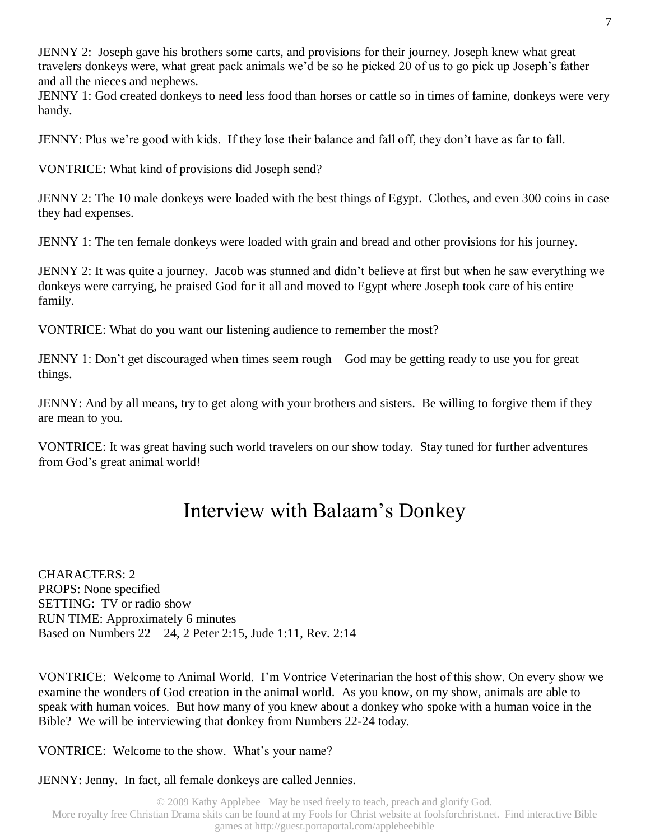JENNY 2: Joseph gave his brothers some carts, and provisions for their journey. Joseph knew what great travelers donkeys were, what great pack animals we'd be so he picked 20 of us to go pick up Joseph's father and all the nieces and nephews.

JENNY 1: God created donkeys to need less food than horses or cattle so in times of famine, donkeys were very handy.

JENNY: Plus we're good with kids. If they lose their balance and fall off, they don't have as far to fall.

VONTRICE: What kind of provisions did Joseph send?

JENNY 2: The 10 male donkeys were loaded with the best things of Egypt. Clothes, and even 300 coins in case they had expenses.

JENNY 1: The ten female donkeys were loaded with grain and bread and other provisions for his journey.

JENNY 2: It was quite a journey. Jacob was stunned and didn't believe at first but when he saw everything we donkeys were carrying, he praised God for it all and moved to Egypt where Joseph took care of his entire family.

VONTRICE: What do you want our listening audience to remember the most?

JENNY 1: Don't get discouraged when times seem rough – God may be getting ready to use you for great things.

JENNY: And by all means, try to get along with your brothers and sisters. Be willing to forgive them if they are mean to you.

VONTRICE: It was great having such world travelers on our show today. Stay tuned for further adventures from God's great animal world!

# Interview with Balaam's Donkey

CHARACTERS: 2 PROPS: None specified SETTING: TV or radio show RUN TIME: Approximately 6 minutes Based on Numbers 22 – 24, 2 Peter 2:15, Jude 1:11, Rev. 2:14

VONTRICE: Welcome to Animal World. I'm Vontrice Veterinarian the host of this show. On every show we examine the wonders of God creation in the animal world. As you know, on my show, animals are able to speak with human voices. But how many of you knew about a donkey who spoke with a human voice in the Bible? We will be interviewing that donkey from Numbers 22-24 today.

VONTRICE: Welcome to the show. What's your name?

JENNY: Jenny. In fact, all female donkeys are called Jennies.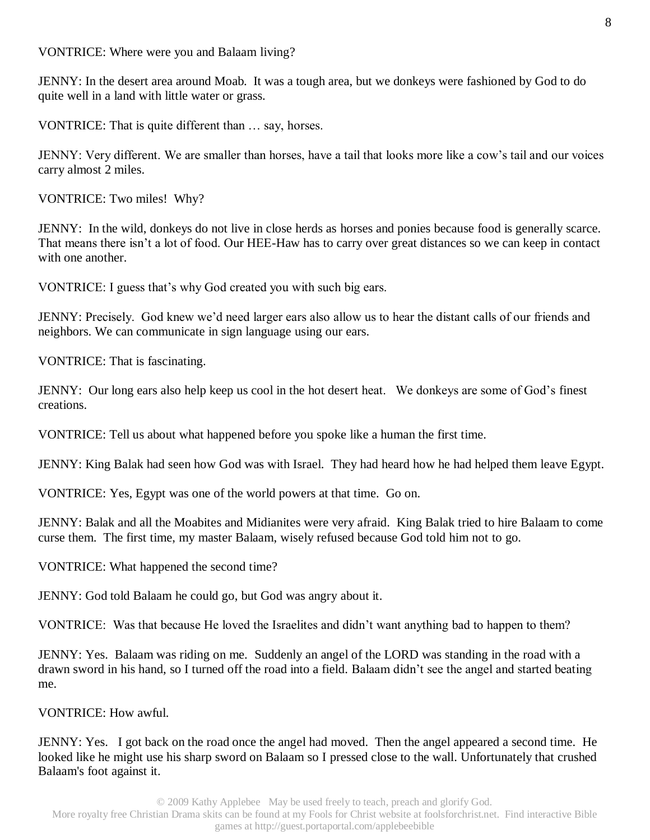VONTRICE: Where were you and Balaam living?

JENNY: In the desert area around Moab. It was a tough area, but we donkeys were fashioned by God to do quite well in a land with little water or grass.

VONTRICE: That is quite different than … say, horses.

JENNY: Very different. We are smaller than horses, have a tail that looks more like a cow's tail and our voices carry almost 2 miles.

VONTRICE: Two miles! Why?

JENNY: In the wild, donkeys do not live in close herds as horses and ponies because food is generally scarce. That means there isn't a lot of food. Our HEE-Haw has to carry over great distances so we can keep in contact with one another.

VONTRICE: I guess that's why God created you with such big ears.

JENNY: Precisely. God knew we'd need larger ears also allow us to hear the distant calls of our friends and neighbors. We can communicate in sign language using our ears.

VONTRICE: That is fascinating.

JENNY: Our long ears also help keep us cool in the hot desert heat. We donkeys are some of God's finest creations.

VONTRICE: Tell us about what happened before you spoke like a human the first time.

JENNY: King Balak had seen how God was with Israel. They had heard how he had helped them leave Egypt.

VONTRICE: Yes, Egypt was one of the world powers at that time. Go on.

JENNY: Balak and all the Moabites and Midianites were very afraid. King Balak tried to hire Balaam to come curse them. The first time, my master Balaam, wisely refused because God told him not to go.

VONTRICE: What happened the second time?

JENNY: God told Balaam he could go, but God was angry about it.

VONTRICE: Was that because He loved the Israelites and didn't want anything bad to happen to them?

JENNY: Yes. Balaam was riding on me. Suddenly an angel of the LORD was standing in the road with a drawn sword in his hand, so I turned off the road into a field. Balaam didn't see the angel and started beating me.

VONTRICE: How awful.

JENNY: Yes. I got back on the road once the angel had moved. Then the angel appeared a second time. He looked like he might use his sharp sword on Balaam so I pressed close to the wall. Unfortunately that crushed Balaam's foot against it.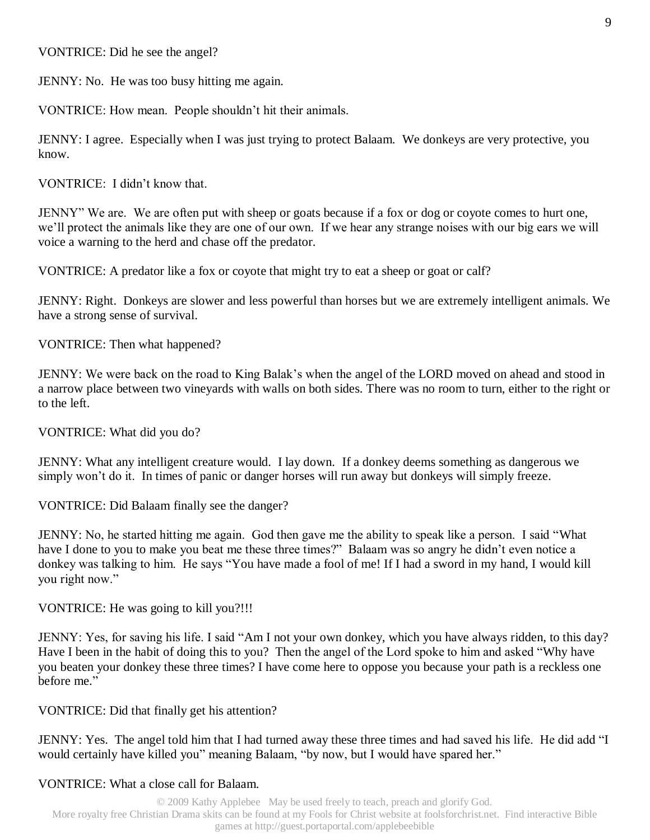VONTRICE: Did he see the angel?

JENNY: No. He was too busy hitting me again.

VONTRICE: How mean. People shouldn't hit their animals.

JENNY: I agree. Especially when I was just trying to protect Balaam. We donkeys are very protective, you know.

VONTRICE: I didn't know that.

JENNY" We are. We are often put with sheep or goats because if a fox or dog or coyote comes to hurt one, we'll protect the animals like they are one of our own. If we hear any strange noises with our big ears we will voice a warning to the herd and chase off the predator.

VONTRICE: A predator like a fox or coyote that might try to eat a sheep or goat or calf?

JENNY: Right. Donkeys are slower and less powerful than horses but we are extremely intelligent animals. We have a strong sense of survival.

VONTRICE: Then what happened?

JENNY: We were back on the road to King Balak's when the angel of the LORD moved on ahead and stood in a narrow place between two vineyards with walls on both sides. There was no room to turn, either to the right or to the left.

VONTRICE: What did you do?

JENNY: What any intelligent creature would. I lay down. If a donkey deems something as dangerous we simply won't do it. In times of panic or danger horses will run away but donkeys will simply freeze.

VONTRICE: Did Balaam finally see the danger?

JENNY: No, he started hitting me again. God then gave me the ability to speak like a person. I said "What have I done to you to make you beat me these three times?" Balaam was so angry he didn't even notice a donkey was talking to him. He says "You have made a fool of me! If I had a sword in my hand, I would kill you right now."

VONTRICE: He was going to kill you?!!!

JENNY: Yes, for saving his life. I said "Am I not your own donkey, which you have always ridden, to this day? Have I been in the habit of doing this to you? Then the angel of the Lord spoke to him and asked "Why have you beaten your donkey these three times? I have come here to oppose you because your path is a reckless one before me."

VONTRICE: Did that finally get his attention?

JENNY: Yes. The angel told him that I had turned away these three times and had saved his life. He did add "I would certainly have killed you" meaning Balaam, "by now, but I would have spared her."

### VONTRICE: What a close call for Balaam.